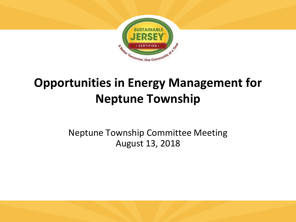

# **Opportunities in Energy Management for Neptune Township**

Neptune Township Committee Meeting August 13, 2018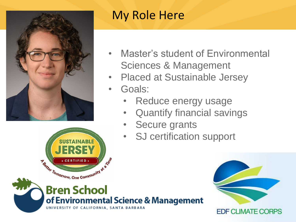



- **Master's student of Environmental** Sciences & Management
- Placed at Sustainable Jersey
- Goals:
	- Reduce energy usage
	- Quantify financial savings
	- Secure grants
	- SJ certification support





**EDF CLIMATE CORPS**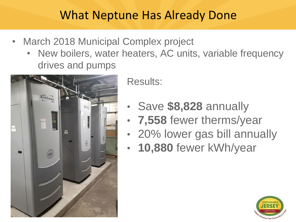#### What Neptune Has Already Done

- March 2018 Municipal Complex project
	- New boilers, water heaters, AC units, variable frequency drives and pumps



Results:

- Save **\$8,828** annually
- **7,558** fewer therms/year
- 20% lower gas bill annually
- **10,880** fewer kWh/year

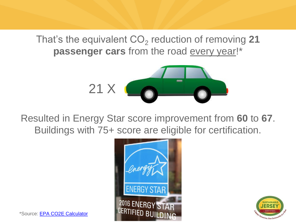That's the equivalent CO<sub>2</sub> reduction of removing 21 passenger cars from the road every year!\*



Resulted in Energy Star score improvement from **60** to **67**. Buildings with 75+ score are eligible for certification.





\*Source: [EPA CO2E Calculator](https://www.epa.gov/energy/greenhouse-gases-equivalencies-calculator-calculations-and-references#vehicles)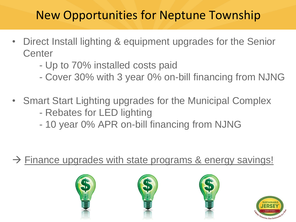## New Opportunities for Neptune Township

- Direct Install lighting & equipment upgrades for the Senior **Center** 
	- Up to 70% installed costs paid
	- Cover 30% with 3 year 0% on-bill financing from NJNG
- Smart Start Lighting upgrades for the Municipal Complex
	- Rebates for LED lighting
	- 10 year 0% APR on-bill financing from NJNG

 $\rightarrow$  Finance upgrades with state programs & energy savings!







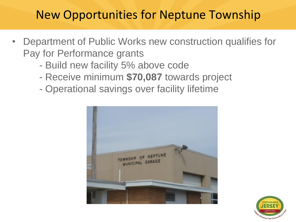### New Opportunities for Neptune Township

- Department of Public Works new construction qualifies for Pay for Performance grants
	- Build new facility 5% above code
	- Receive minimum **\$70,087** towards project
	- Operational savings over facility lifetime



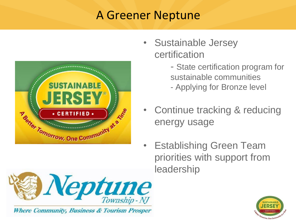#### A Greener Neptune



- Sustainable Jersey certification
	- State certification program for sustainable communities
	- Applying for Bronze level
- Continue tracking & reducing energy usage
- Establishing Green Team priorities with support from leadership



Where Community, Business & Tourism Prosper